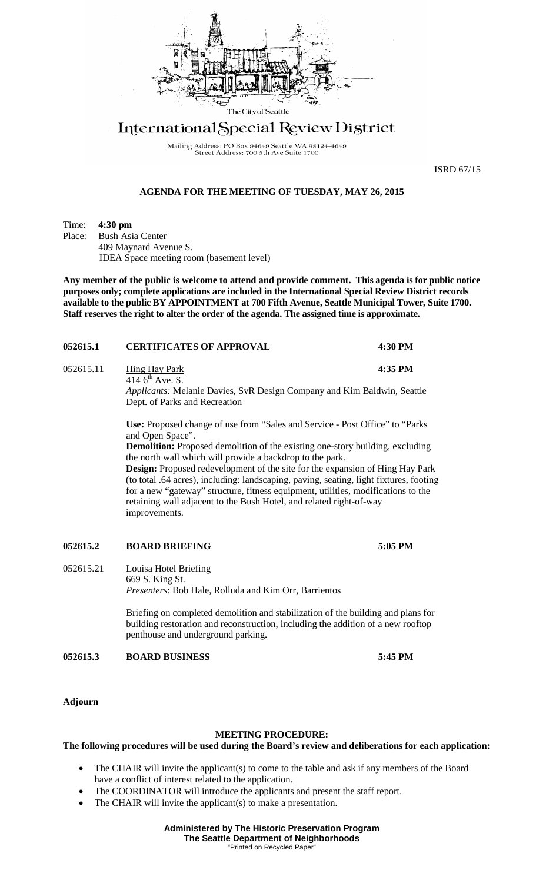

# International Special Review District

Mailing Address: PO Box 94649 Seattle WA 98124-4649<br>Street Address: 700 5th Ave Suite 1700

ISRD 67/15

## **AGENDA FOR THE MEETING OF TUESDAY, MAY 26, 2015**

Time: **4:30 pm**<br>Place: Bush Asi

**Bush Asia Center** 409 Maynard Avenue S. IDEA Space meeting room (basement level)

**Any member of the public is welcome to attend and provide comment. This agenda is for public notice purposes only; complete applications are included in the International Special Review District records available to the public BY APPOINTMENT at 700 Fifth Avenue, Seattle Municipal Tower, Suite 1700. Staff reserves the right to alter the order of the agenda. The assigned time is approximate.** 

| 052615.1  | <b>CERTIFICATES OF APPROVAL</b>                                                                                                                                                                                                                                                                                                                                                                                                                                                                                                                                                                                              | 4:30 PM |
|-----------|------------------------------------------------------------------------------------------------------------------------------------------------------------------------------------------------------------------------------------------------------------------------------------------------------------------------------------------------------------------------------------------------------------------------------------------------------------------------------------------------------------------------------------------------------------------------------------------------------------------------------|---------|
| 052615.11 | <b>Hing Hay Park</b><br>414 $6^{th}$ Ave. S.<br><i>Applicants:</i> Melanie Davies, SvR Design Company and Kim Baldwin, Seattle<br>Dept. of Parks and Recreation                                                                                                                                                                                                                                                                                                                                                                                                                                                              | 4:35 PM |
|           | <b>Use:</b> Proposed change of use from "Sales and Service - Post Office" to "Parks"<br>and Open Space".<br><b>Demolition:</b> Proposed demolition of the existing one-story building, excluding<br>the north wall which will provide a backdrop to the park.<br><b>Design:</b> Proposed redevelopment of the site for the expansion of Hing Hay Park<br>(to total .64 acres), including: landscaping, paving, seating, light fixtures, footing<br>for a new "gateway" structure, fitness equipment, utilities, modifications to the<br>retaining wall adjacent to the Bush Hotel, and related right-of-way<br>improvements. |         |

#### **052615.2 BOARD BRIEFING 5:05 PM**

052615.21 Louisa Hotel Briefing 669 S. King St. *Presenters*: Bob Hale, Rolluda and Kim Orr, Barrientos

> Briefing on completed demolition and stabilization of the building and plans for building restoration and reconstruction, including the addition of a new rooftop penthouse and underground parking.

**052615.3 BOARD BUSINESS 5:45 PM**

**Adjourn**

#### **MEETING PROCEDURE:**

### **The following procedures will be used during the Board's review and deliberations for each application:**

- The CHAIR will invite the applicant(s) to come to the table and ask if any members of the Board have a conflict of interest related to the application.
- The COORDINATOR will introduce the applicants and present the staff report.
- The CHAIR will invite the applicant(s) to make a presentation.